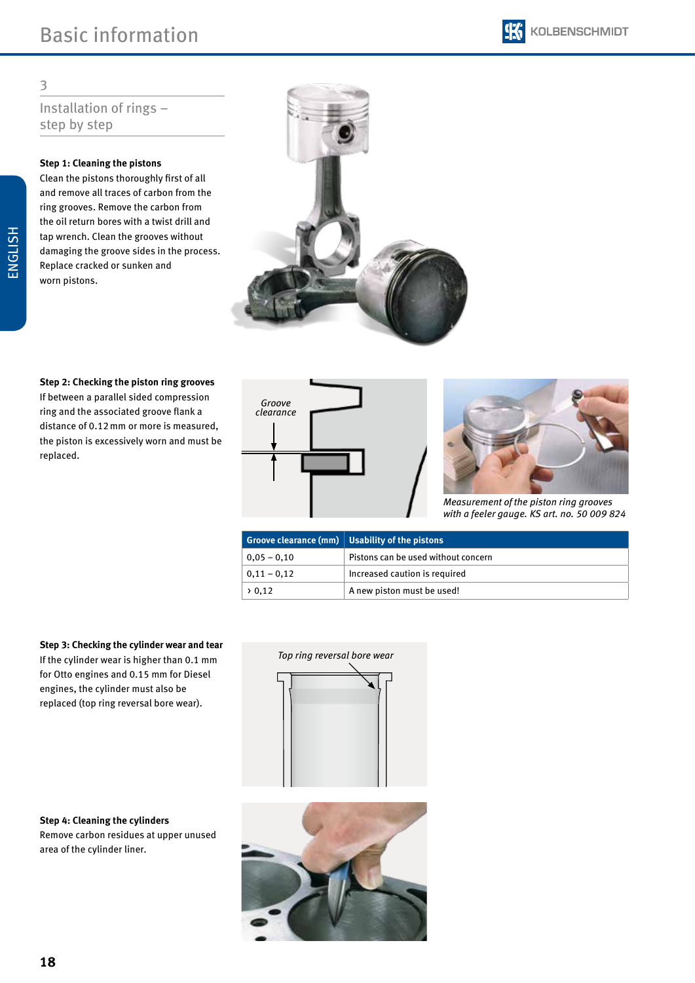# Installation of rings – step by step

### **Step 1: Cleaning the pistons**

Clean the pistons thoroughly first of all and remove all traces of carbon from the ring grooves. Remove the carbon from the oil return bores with a twist drill and tap wrench. Clean the grooves without damaging the groove sides in the process. Replace cracked or sunken and worn pistons.



**Step 2: Checking the piston ring grooves** If between a parallel sided compression ring and the associated groove flank a distance of 0.12mm or more is measured, the piston is excessively worn and must be replaced.





*Measurement of the piston ring grooves with a feeler gauge. KS art. no. 50 009 824*

|                    | Groove clearance ( $mm$ ) Usability of the pistons |
|--------------------|----------------------------------------------------|
| $0.05 - 0.10$      | Pistons can be used without concern                |
| $0,11 - 0,12$      | Increased caution is required                      |
| $\rightarrow 0.12$ | A new piston must be used!                         |

**Step 3: Checking the cylinder wear and tear** If the cylinder wear is higher than 0.1 mm for Otto engines and 0.15 mm for Diesel engines, the cylinder must also be replaced (top ring reversal bore wear).

**Step 4: Cleaning the cylinders**  Remove carbon residues at upper unused area of the cylinder liner.



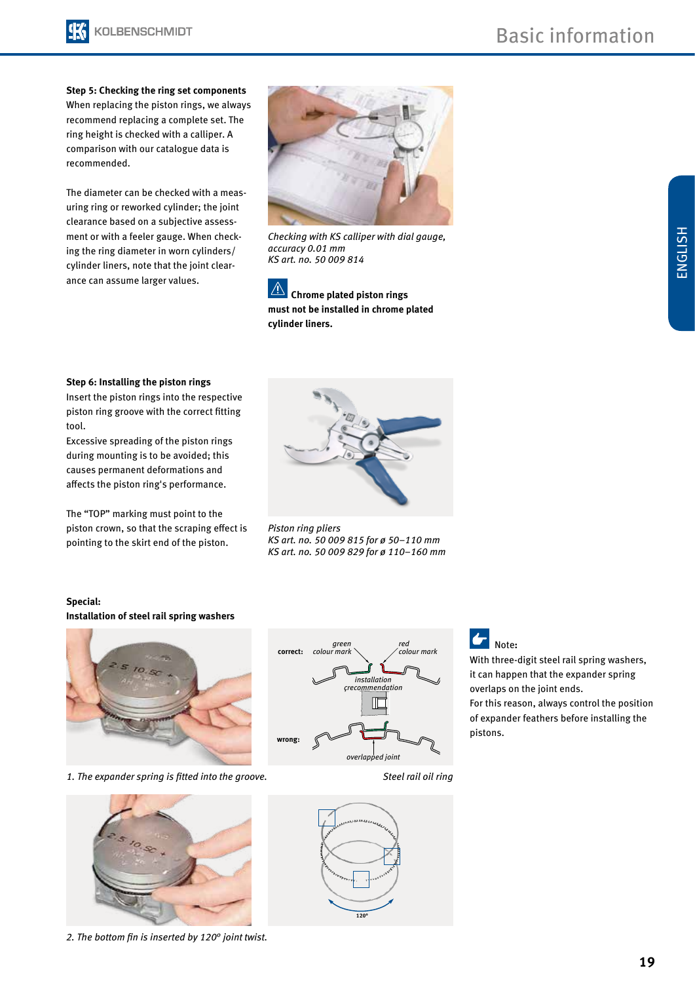

**Step 5: Checking the ring set components** When replacing the piston rings, we always recommend replacing a complete set. The ring height is checked with a calliper. A comparison with our catalogue data is recommended.

The diameter can be checked with a measuring ring or reworked cylinder; the joint clearance based on a subjective assessment or with a feeler gauge. When checking the ring diameter in worn cylinders/ cylinder liners, note that the joint clearance can assume larger values.



*Checking with KS calliper with dial gauge, accuracy 0.01 mm KS art. no. 50 009 814*

 $\mathbb{A}$ **Chrome plated piston rings must not be installed in chrome plated cylinder liners.**

ENGLISH

#### **Step 6: Installing the piston rings**

Insert the piston rings into the respective piston ring groove with the correct fitting tool.

Excessive spreading of the piston rings during mounting is to be avoided; this causes permanent deformations and affects the piston ring's performance.

The "TOP" marking must point to the piston crown, so that the scraping effect is pointing to the skirt end of the piston.



*Piston ring pliers KS art. no. 50 009 815 for ø 50–110 mm KS art. no. 50 009 829 for ø 110–160 mm*

#### **Special:**

#### **Installation of steel rail spring washers**



*1. The expander spring is fitted into the groove.*



*2. The bottom fin is inserted by 120° joint twist.*



*Steel rail oil ring*



With three-digit steel rail spring washers, it can happen that the expander spring overlaps on the joint ends.

For this reason, always control the position of expander feathers before installing the pistons.